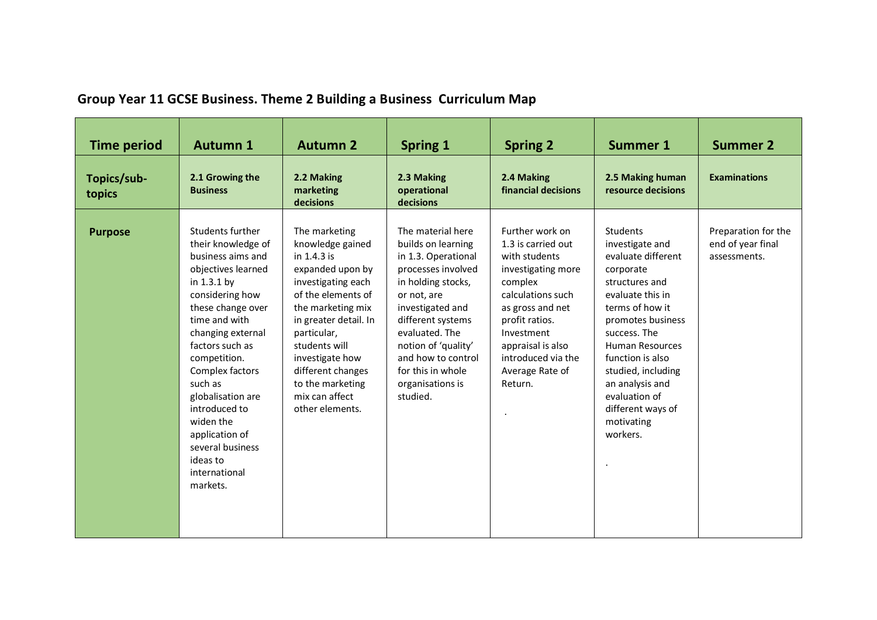| <b>Time period</b>    | <b>Autumn 1</b>                                                                                                                                                                                                                                                                                                                                                                     | <b>Autumn 2</b>                                                                                                                                                                                                                                                                                 | <b>Spring 1</b>                                                                                                                                                                                                                                                                        | <b>Spring 2</b>                                                                                                                                                                                                                           | <b>Summer 1</b>                                                                                                                                                                                                                                                                                                     | <b>Summer 2</b>                                          |
|-----------------------|-------------------------------------------------------------------------------------------------------------------------------------------------------------------------------------------------------------------------------------------------------------------------------------------------------------------------------------------------------------------------------------|-------------------------------------------------------------------------------------------------------------------------------------------------------------------------------------------------------------------------------------------------------------------------------------------------|----------------------------------------------------------------------------------------------------------------------------------------------------------------------------------------------------------------------------------------------------------------------------------------|-------------------------------------------------------------------------------------------------------------------------------------------------------------------------------------------------------------------------------------------|---------------------------------------------------------------------------------------------------------------------------------------------------------------------------------------------------------------------------------------------------------------------------------------------------------------------|----------------------------------------------------------|
| Topics/sub-<br>topics | 2.1 Growing the<br><b>Business</b>                                                                                                                                                                                                                                                                                                                                                  | 2.2 Making<br>marketing<br>decisions                                                                                                                                                                                                                                                            | 2.3 Making<br>operational<br>decisions                                                                                                                                                                                                                                                 | 2.4 Making<br>financial decisions                                                                                                                                                                                                         | 2.5 Making human<br>resource decisions                                                                                                                                                                                                                                                                              | <b>Examinations</b>                                      |
| <b>Purpose</b>        | Students further<br>their knowledge of<br>business aims and<br>objectives learned<br>in $1.3.1$ by<br>considering how<br>these change over<br>time and with<br>changing external<br>factors such as<br>competition.<br>Complex factors<br>such as<br>globalisation are<br>introduced to<br>widen the<br>application of<br>several business<br>ideas to<br>international<br>markets. | The marketing<br>knowledge gained<br>in 1.4.3 is<br>expanded upon by<br>investigating each<br>of the elements of<br>the marketing mix<br>in greater detail. In<br>particular,<br>students will<br>investigate how<br>different changes<br>to the marketing<br>mix can affect<br>other elements. | The material here<br>builds on learning<br>in 1.3. Operational<br>processes involved<br>in holding stocks,<br>or not, are<br>investigated and<br>different systems<br>evaluated. The<br>notion of 'quality'<br>and how to control<br>for this in whole<br>organisations is<br>studied. | Further work on<br>1.3 is carried out<br>with students<br>investigating more<br>complex<br>calculations such<br>as gross and net<br>profit ratios.<br>Investment<br>appraisal is also<br>introduced via the<br>Average Rate of<br>Return. | Students<br>investigate and<br>evaluate different<br>corporate<br>structures and<br>evaluate this in<br>terms of how it<br>promotes business<br>success. The<br><b>Human Resources</b><br>function is also<br>studied, including<br>an analysis and<br>evaluation of<br>different ways of<br>motivating<br>workers. | Preparation for the<br>end of year final<br>assessments. |

## **Group Year 11 GCSE Business. Theme 2 Building a Business Curriculum Map**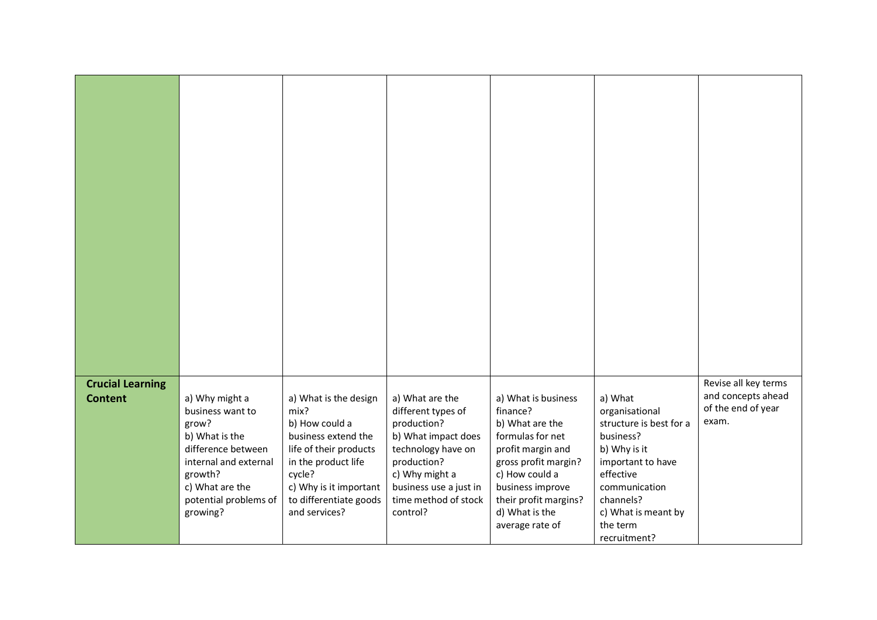| Revise all key terms<br><b>Crucial Learning</b><br>and concepts ahead<br>a) Why might a<br>a) What is the design<br>a) What are the<br>a) What is business<br>a) What<br><b>Content</b><br>of the end of year<br>mix?<br>finance?<br>business want to |
|-------------------------------------------------------------------------------------------------------------------------------------------------------------------------------------------------------------------------------------------------------|
|                                                                                                                                                                                                                                                       |
|                                                                                                                                                                                                                                                       |
|                                                                                                                                                                                                                                                       |
|                                                                                                                                                                                                                                                       |
|                                                                                                                                                                                                                                                       |
|                                                                                                                                                                                                                                                       |
|                                                                                                                                                                                                                                                       |
|                                                                                                                                                                                                                                                       |
|                                                                                                                                                                                                                                                       |
|                                                                                                                                                                                                                                                       |
|                                                                                                                                                                                                                                                       |
|                                                                                                                                                                                                                                                       |
|                                                                                                                                                                                                                                                       |
|                                                                                                                                                                                                                                                       |
|                                                                                                                                                                                                                                                       |
|                                                                                                                                                                                                                                                       |
| different types of<br>organisational<br>exam.<br>b) How could a<br>production?<br>b) What are the<br>structure is best for a<br>grow?                                                                                                                 |
| business extend the<br>business?<br>b) What is the<br>b) What impact does<br>formulas for net                                                                                                                                                         |
| difference between<br>life of their products<br>technology have on<br>profit margin and<br>b) Why is it                                                                                                                                               |
| production?<br>internal and external<br>in the product life<br>gross profit margin?<br>important to have                                                                                                                                              |
| effective<br>cycle?<br>c) Why might a<br>c) How could a<br>growth?<br>c) What are the<br>c) Why is it important<br>business use a just in<br>business improve<br>communication                                                                        |
| to differentiate goods<br>time method of stock<br>channels?<br>potential problems of<br>their profit margins?                                                                                                                                         |
| d) What is the<br>and services?<br>control?<br>c) What is meant by<br>growing?                                                                                                                                                                        |
| average rate of<br>the term<br>recruitment?                                                                                                                                                                                                           |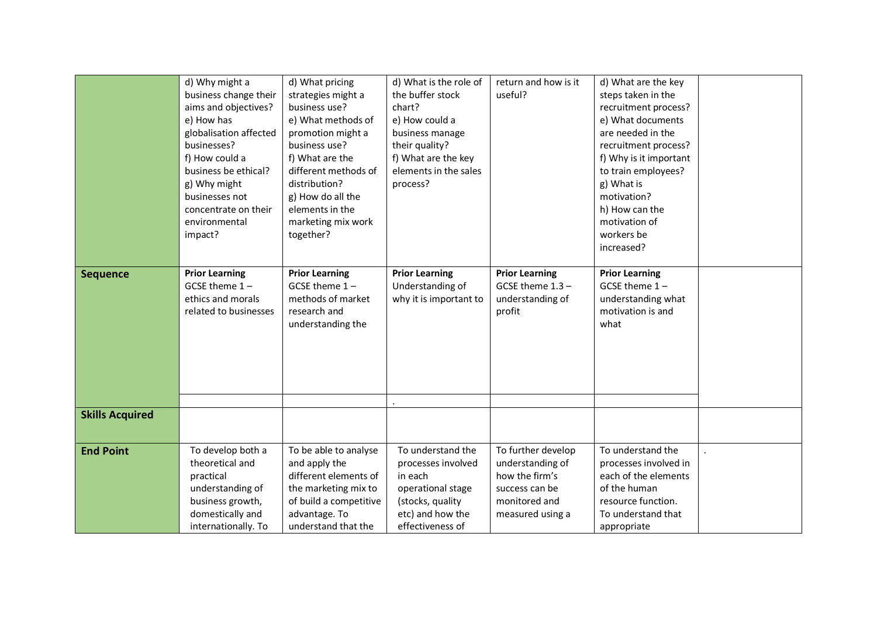|                        | d) Why might a<br>business change their<br>aims and objectives?<br>e) How has<br>globalisation affected<br>businesses?<br>f) How could a<br>business be ethical?<br>g) Why might<br>businesses not<br>concentrate on their<br>environmental<br>impact? | d) What pricing<br>strategies might a<br>business use?<br>e) What methods of<br>promotion might a<br>business use?<br>f) What are the<br>different methods of<br>distribution?<br>g) How do all the<br>elements in the<br>marketing mix work<br>together? | d) What is the role of<br>the buffer stock<br>chart?<br>e) How could a<br>business manage<br>their quality?<br>f) What are the key<br>elements in the sales<br>process? | return and how is it<br>useful?                                                                                 | d) What are the key<br>steps taken in the<br>recruitment process?<br>e) What documents<br>are needed in the<br>recruitment process?<br>f) Why is it important<br>to train employees?<br>g) What is<br>motivation?<br>h) How can the<br>motivation of<br>workers be<br>increased? |  |
|------------------------|--------------------------------------------------------------------------------------------------------------------------------------------------------------------------------------------------------------------------------------------------------|-----------------------------------------------------------------------------------------------------------------------------------------------------------------------------------------------------------------------------------------------------------|-------------------------------------------------------------------------------------------------------------------------------------------------------------------------|-----------------------------------------------------------------------------------------------------------------|----------------------------------------------------------------------------------------------------------------------------------------------------------------------------------------------------------------------------------------------------------------------------------|--|
| <b>Sequence</b>        | <b>Prior Learning</b><br>GCSE theme $1 -$<br>ethics and morals<br>related to businesses                                                                                                                                                                | <b>Prior Learning</b><br>GCSE theme $1 -$<br>methods of market<br>research and<br>understanding the                                                                                                                                                       | <b>Prior Learning</b><br>Understanding of<br>why it is important to                                                                                                     | <b>Prior Learning</b><br>GCSE theme 1.3 -<br>understanding of<br>profit                                         | <b>Prior Learning</b><br>GCSE theme $1 -$<br>understanding what<br>motivation is and<br>what                                                                                                                                                                                     |  |
| <b>Skills Acquired</b> |                                                                                                                                                                                                                                                        |                                                                                                                                                                                                                                                           |                                                                                                                                                                         |                                                                                                                 |                                                                                                                                                                                                                                                                                  |  |
| <b>End Point</b>       | To develop both a<br>theoretical and<br>practical<br>understanding of<br>business growth,<br>domestically and<br>internationally. To                                                                                                                   | To be able to analyse<br>and apply the<br>different elements of<br>the marketing mix to<br>of build a competitive<br>advantage. To<br>understand that the                                                                                                 | To understand the<br>processes involved<br>in each<br>operational stage<br>(stocks, quality<br>etc) and how the<br>effectiveness of                                     | To further develop<br>understanding of<br>how the firm's<br>success can be<br>monitored and<br>measured using a | To understand the<br>processes involved in<br>each of the elements<br>of the human<br>resource function.<br>To understand that<br>appropriate                                                                                                                                    |  |